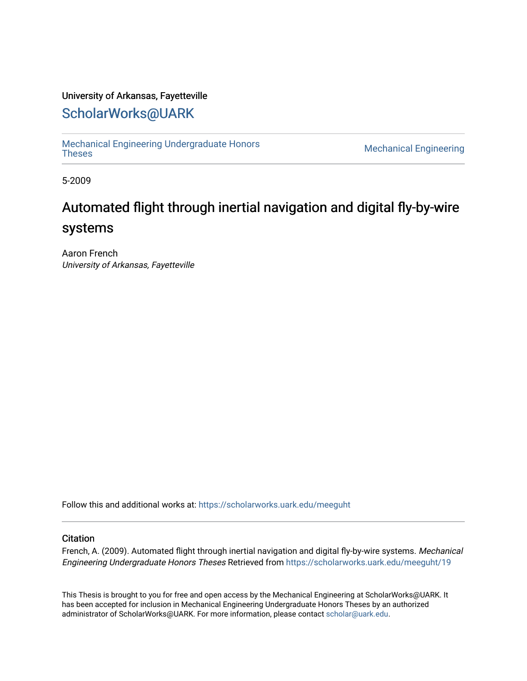### University of Arkansas, Fayetteville

## [ScholarWorks@UARK](https://scholarworks.uark.edu/)

[Mechanical Engineering Undergraduate Honors](https://scholarworks.uark.edu/meeguht)

**Mechanical Engineering** 

5-2009

# Automated flight through inertial navigation and digital fly-by-wire systems

Aaron French University of Arkansas, Fayetteville

Follow this and additional works at: [https://scholarworks.uark.edu/meeguht](https://scholarworks.uark.edu/meeguht?utm_source=scholarworks.uark.edu%2Fmeeguht%2F19&utm_medium=PDF&utm_campaign=PDFCoverPages) 

### **Citation**

French, A. (2009). Automated flight through inertial navigation and digital fly-by-wire systems. Mechanical Engineering Undergraduate Honors Theses Retrieved from [https://scholarworks.uark.edu/meeguht/19](https://scholarworks.uark.edu/meeguht/19?utm_source=scholarworks.uark.edu%2Fmeeguht%2F19&utm_medium=PDF&utm_campaign=PDFCoverPages)

This Thesis is brought to you for free and open access by the Mechanical Engineering at ScholarWorks@UARK. It has been accepted for inclusion in Mechanical Engineering Undergraduate Honors Theses by an authorized administrator of ScholarWorks@UARK. For more information, please contact [scholar@uark.edu](mailto:scholar@uark.edu).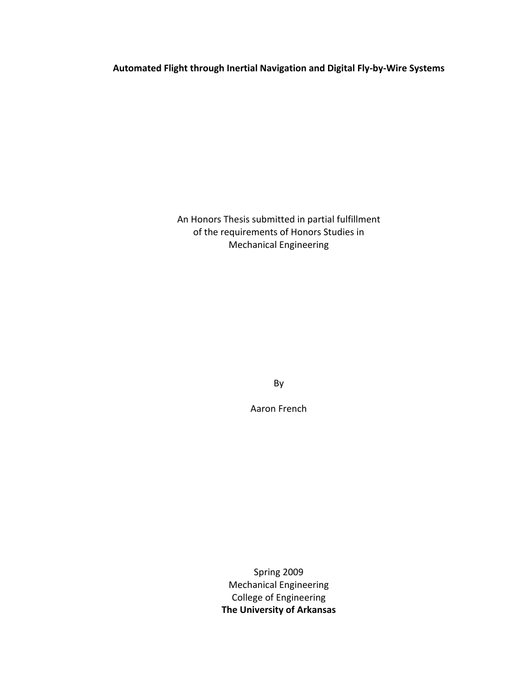**Automated Flight through Inertial Navigation and Digital Fly‐by‐Wire Systems**

An Honors Thesis submitted in partial fulfillment of the requirements of Honors Studies in Mechanical Engineering

By

Aaron French

Spring 2009 Mechanical Engineering College of Engineering **The University of Arkansas**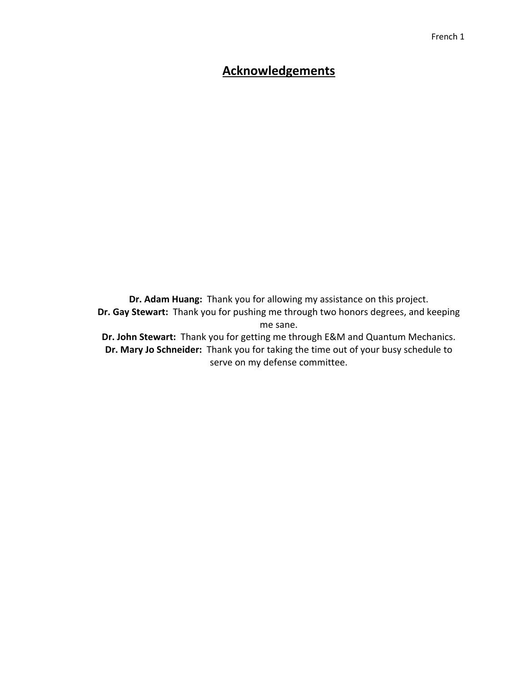## **Acknowledgements**

**Dr. Adam Huang:** Thank you for allowing my assistance on this project. **Dr. Gay Stewart:** Thank you for pushing me through two honors degrees, and keeping me sane. **Dr. John Stewart:** Thank you for getting me through E&M and Quantum Mechanics.

**Dr. Mary Jo Schneider:** Thank you for taking the time out of your busy schedule to serve on my defense committee.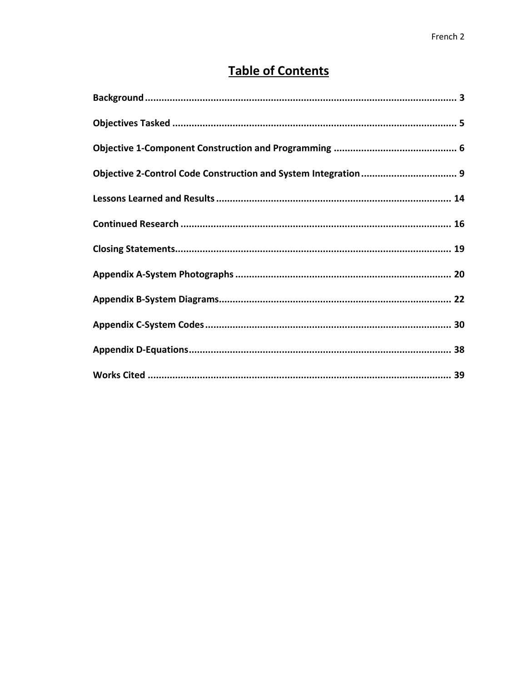## **Table of Contents**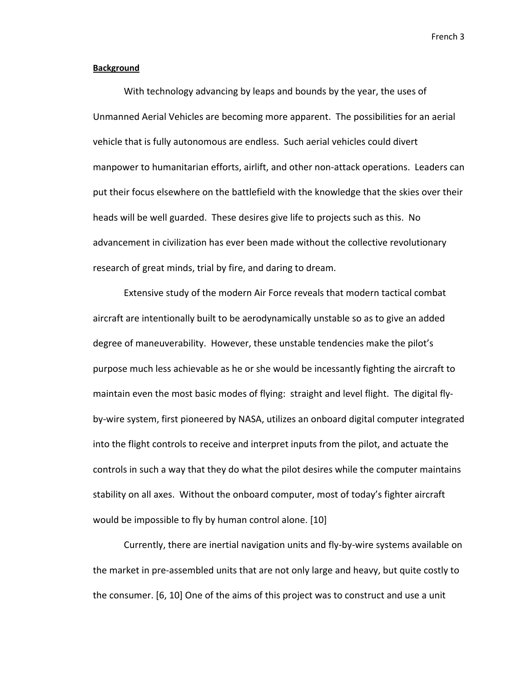### **Background**

With technology advancing by leaps and bounds by the year, the uses of Unmanned Aerial Vehicles are becoming more apparent. The possibilities for an aerial vehicle that is fully autonomous are endless. Such aerial vehicles could divert manpower to humanitarian efforts, airlift, and other non-attack operations. Leaders can put their focus elsewhere on the battlefield with the knowledge that the skies over their heads will be well guarded. These desires give life to projects such as this. No advancement in civilization has ever been made without the collective revolutionary research of great minds, trial by fire, and daring to dream.

Extensive study of the modern Air Force reveals that modern tactical combat aircraft are intentionally built to be aerodynamically unstable so as to give an added degree of maneuverability. However, these unstable tendencies make the pilot's purpose much less achievable as he or she would be incessantly fighting the aircraft to maintain even the most basic modes of flying: straight and level flight. The digital flyby-wire system, first pioneered by NASA, utilizes an onboard digital computer integrated into the flight controls to receive and interpret inputs from the pilot, and actuate the controls in such a way that they do what the pilot desires while the computer maintains stability on all axes. Without the onboard computer, most of today's fighter aircraft would be impossible to fly by human control alone. [10]

Currently, there are inertial navigation units and fly‐by‐wire systems available on the market in pre‐assembled units that are not only large and heavy, but quite costly to the consumer. [6, 10] One of the aims of this project was to construct and use a unit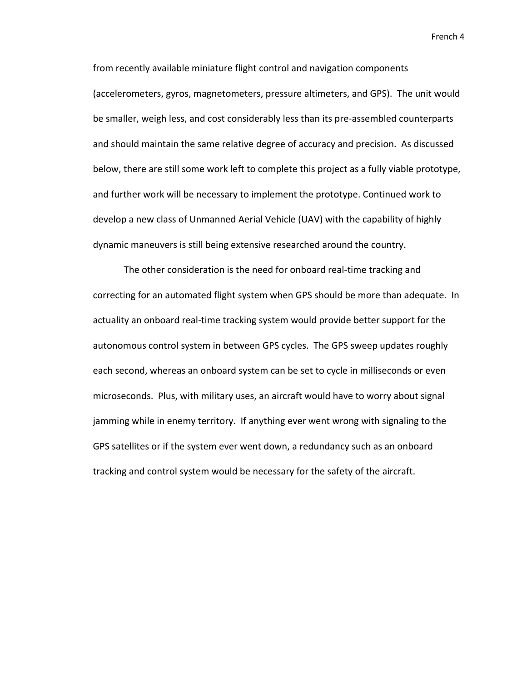from recently available miniature flight control and navigation components (accelerometers, gyros, magnetometers, pressure altimeters, and GPS). The unit would be smaller, weigh less, and cost considerably less than its pre‐assembled counterparts and should maintain the same relative degree of accuracy and precision. As discussed below, there are still some work left to complete this project as a fully viable prototype, and further work will be necessary to implement the prototype. Continued work to develop a new class of Unmanned Aerial Vehicle (UAV) with the capability of highly dynamic maneuvers is still being extensive researched around the country.

The other consideration is the need for onboard real‐time tracking and correcting for an automated flight system when GPS should be more than adequate. In actuality an onboard real‐time tracking system would provide better support for the autonomous control system in between GPS cycles. The GPS sweep updates roughly each second, whereas an onboard system can be set to cycle in milliseconds or even microseconds. Plus, with military uses, an aircraft would have to worry about signal jamming while in enemy territory. If anything ever went wrong with signaling to the GPS satellites or if the system ever went down, a redundancy such as an onboard tracking and control system would be necessary for the safety of the aircraft.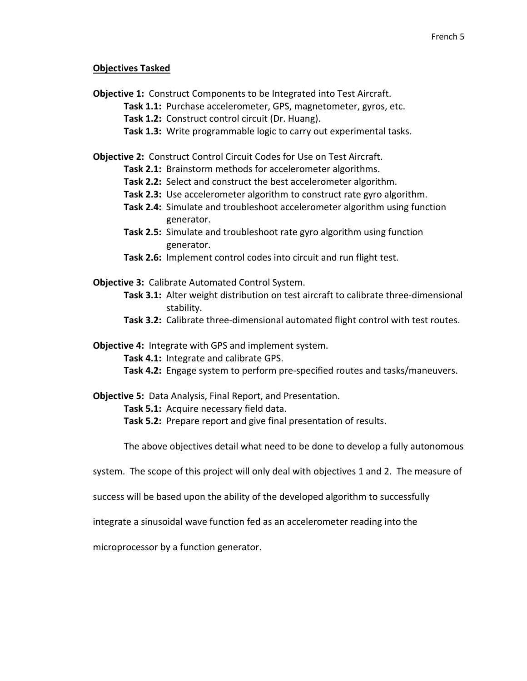### **Objectives Tasked**

**Objective 1:** Construct Components to be Integrated into Test Aircraft.

- **Task 1.1:** Purchase accelerometer, GPS, magnetometer, gyros, etc.
- **Task 1.2:** Construct control circuit (Dr. Huang).
- **Task 1.3:** Write programmable logic to carry out experimental tasks.

**Objective 2:** Construct Control Circuit Codes for Use on Test Aircraft.

- **Task 2.1:** Brainstorm methods for accelerometer algorithms.
- **Task 2.2:** Select and construct the best accelerometer algorithm.
- **Task 2.3:** Use accelerometer algorithm to construct rate gyro algorithm.
- **Task 2.4:** Simulate and troubleshoot accelerometer algorithm using function generator.
- **Task 2.5:** Simulate and troubleshoot rate gyro algorithm using function generator.
- **Task 2.6:** Implement control codes into circuit and run flight test.
- **Objective 3:** Calibrate Automated Control System.
	- **Task 3.1:** Alter weight distribution on test aircraft to calibrate three‐dimensional stability.
	- **Task 3.2:** Calibrate three‐dimensional automated flight control with test routes.
- **Objective 4: Integrate with GPS and implement system.** 
	- **Task 4.1:** Integrate and calibrate GPS.
	- **Task 4.2:** Engage system to perform pre‐specified routes and tasks/maneuvers.
- **Objective 5:** Data Analysis, Final Report, and Presentation.

**Task 5.1:** Acquire necessary field data.

**Task 5.2:** Prepare report and give final presentation of results.

The above objectives detail what need to be done to develop a fully autonomous

- system. The scope of this project will only deal with objectives 1 and 2. The measure of
- success will be based upon the ability of the developed algorithm to successfully

integrate a sinusoidal wave function fed as an accelerometer reading into the

microprocessor by a function generator.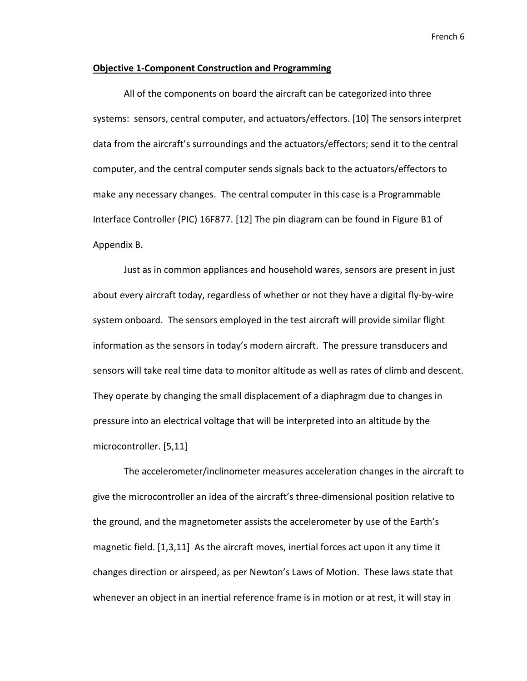#### **Objective 1‐Component Construction and Programming**

All of the components on board the aircraft can be categorized into three systems: sensors, central computer, and actuators/effectors. [10] The sensors interpret data from the aircraft's surroundings and the actuators/effectors; send it to the central computer, and the central computer sends signals back to the actuators/effectors to make any necessary changes. The central computer in this case is a Programmable Interface Controller (PIC) 16F877. [12] The pin diagram can be found in Figure B1 of Appendix B.

Just as in common appliances and household wares, sensors are present in just about every aircraft today, regardless of whether or not they have a digital fly‐by‐wire system onboard. The sensors employed in the test aircraft will provide similar flight information as the sensors in today's modern aircraft. The pressure transducers and sensors will take real time data to monitor altitude as well as rates of climb and descent. They operate by changing the small displacement of a diaphragm due to changes in pressure into an electrical voltage that will be interpreted into an altitude by the microcontroller. [5,11]

The accelerometer/inclinometer measures acceleration changes in the aircraft to give the microcontroller an idea of the aircraft's three‐dimensional position relative to the ground, and the magnetometer assists the accelerometer by use of the Earth's magnetic field. [1,3,11] As the aircraft moves, inertial forces act upon it any time it changes direction or airspeed, as per Newton's Laws of Motion. These laws state that whenever an object in an inertial reference frame is in motion or at rest, it will stay in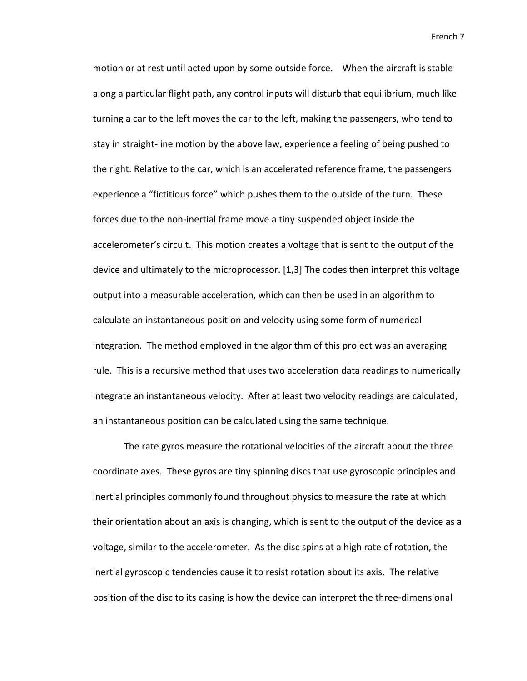motion or at rest until acted upon by some outside force. When the aircraft is stable along a particular flight path, any control inputs will disturb that equilibrium, much like turning a car to the left moves the car to the left, making the passengers, who tend to stay in straight‐line motion by the above law, experience a feeling of being pushed to the right. Relative to the car, which is an accelerated reference frame, the passengers experience a "fictitious force" which pushes them to the outside of the turn. These forces due to the non‐inertial frame move a tiny suspended object inside the accelerometer's circuit. This motion creates a voltage that is sent to the output of the device and ultimately to the microprocessor. [1,3] The codes then interpret this voltage output into a measurable acceleration, which can then be used in an algorithm to calculate an instantaneous position and velocity using some form of numerical integration. The method employed in the algorithm of this project was an averaging rule. This is a recursive method that uses two acceleration data readings to numerically integrate an instantaneous velocity. After at least two velocity readings are calculated, an instantaneous position can be calculated using the same technique.

The rate gyros measure the rotational velocities of the aircraft about the three coordinate axes. These gyros are tiny spinning discs that use gyroscopic principles and inertial principles commonly found throughout physics to measure the rate at which their orientation about an axis is changing, which is sent to the output of the device as a voltage, similar to the accelerometer. As the disc spins at a high rate of rotation, the inertial gyroscopic tendencies cause it to resist rotation about its axis. The relative position of the disc to its casing is how the device can interpret the three‐dimensional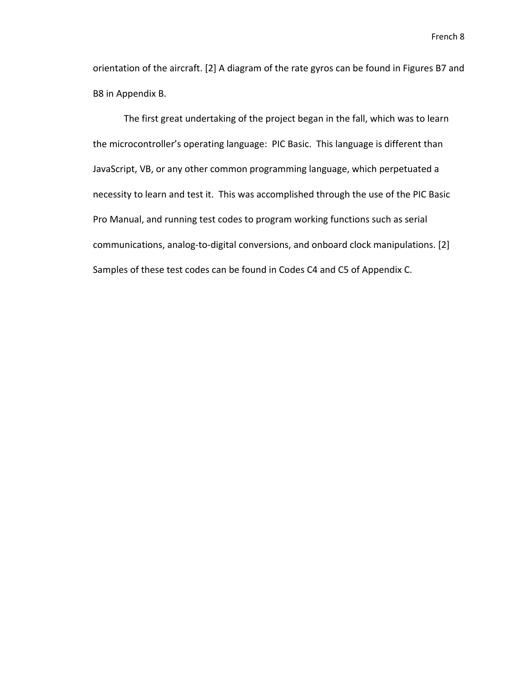orientation of the aircraft. [2] A diagram of the rate gyros can be found in Figures B7 and B8 in Appendix B.

The first great undertaking of the project began in the fall, which was to learn the microcontroller's operating language: PIC Basic. This language is different than JavaScript, VB, or any other common programming language, which perpetuated a necessity to learn and test it. This was accomplished through the use of the PIC Basic Pro Manual, and running test codes to program working functions such as serial communications, analog‐to‐digital conversions, and onboard clock manipulations. [2] Samples of these test codes can be found in Codes C4 and C5 of Appendix C.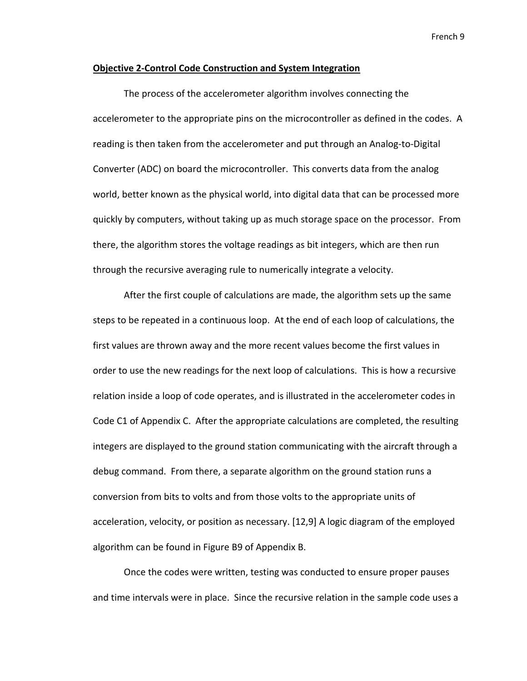#### **Objective 2‐Control Code Construction and System Integration**

The process of the accelerometer algorithm involves connecting the accelerometer to the appropriate pins on the microcontroller as defined in the codes. A reading is then taken from the accelerometer and put through an Analog‐to‐Digital Converter (ADC) on board the microcontroller. This converts data from the analog world, better known as the physical world, into digital data that can be processed more quickly by computers, without taking up as much storage space on the processor. From there, the algorithm stores the voltage readings as bit integers, which are then run through the recursive averaging rule to numerically integrate a velocity.

After the first couple of calculations are made, the algorithm sets up the same steps to be repeated in a continuous loop. At the end of each loop of calculations, the first values are thrown away and the more recent values become the first values in order to use the new readings for the next loop of calculations. This is how a recursive relation inside a loop of code operates, and is illustrated in the accelerometer codes in Code C1 of Appendix C. After the appropriate calculations are completed, the resulting integers are displayed to the ground station communicating with the aircraft through a debug command. From there, a separate algorithm on the ground station runs a conversion from bits to volts and from those volts to the appropriate units of acceleration, velocity, or position as necessary. [12,9] A logic diagram of the employed algorithm can be found in Figure B9 of Appendix B.

Once the codes were written, testing was conducted to ensure proper pauses and time intervals were in place. Since the recursive relation in the sample code uses a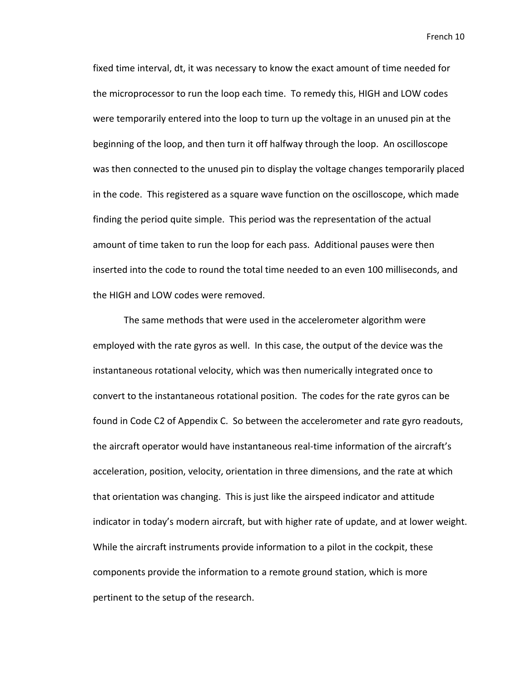fixed time interval, dt, it was necessary to know the exact amount of time needed for the microprocessor to run the loop each time. To remedy this, HIGH and LOW codes were temporarily entered into the loop to turn up the voltage in an unused pin at the beginning of the loop, and then turn it off halfway through the loop. An oscilloscope was then connected to the unused pin to display the voltage changes temporarily placed in the code. This registered as a square wave function on the oscilloscope, which made finding the period quite simple. This period was the representation of the actual amount of time taken to run the loop for each pass. Additional pauses were then inserted into the code to round the total time needed to an even 100 milliseconds, and the HIGH and LOW codes were removed.

The same methods that were used in the accelerometer algorithm were employed with the rate gyros as well. In this case, the output of the device was the instantaneous rotational velocity, which was then numerically integrated once to convert to the instantaneous rotational position. The codes for the rate gyros can be found in Code C2 of Appendix C. So between the accelerometer and rate gyro readouts, the aircraft operator would have instantaneous real‐time information of the aircraft's acceleration, position, velocity, orientation in three dimensions, and the rate at which that orientation was changing. This is just like the airspeed indicator and attitude indicator in today's modern aircraft, but with higher rate of update, and at lower weight. While the aircraft instruments provide information to a pilot in the cockpit, these components provide the information to a remote ground station, which is more pertinent to the setup of the research.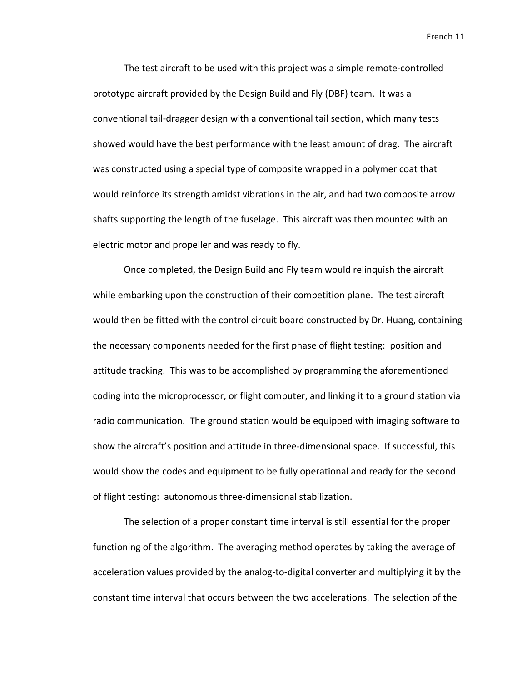The test aircraft to be used with this project was a simple remote‐controlled prototype aircraft provided by the Design Build and Fly (DBF) team. It was a conventional tail‐dragger design with a conventional tail section, which many tests showed would have the best performance with the least amount of drag. The aircraft was constructed using a special type of composite wrapped in a polymer coat that would reinforce its strength amidst vibrations in the air, and had two composite arrow shafts supporting the length of the fuselage. This aircraft was then mounted with an electric motor and propeller and was ready to fly.

Once completed, the Design Build and Fly team would relinquish the aircraft while embarking upon the construction of their competition plane. The test aircraft would then be fitted with the control circuit board constructed by Dr. Huang, containing the necessary components needed for the first phase of flight testing: position and attitude tracking. This was to be accomplished by programming the aforementioned coding into the microprocessor, or flight computer, and linking it to a ground station via radio communication. The ground station would be equipped with imaging software to show the aircraft's position and attitude in three-dimensional space. If successful, this would show the codes and equipment to be fully operational and ready for the second of flight testing: autonomous three‐dimensional stabilization.

The selection of a proper constant time interval is still essential for the proper functioning of the algorithm. The averaging method operates by taking the average of acceleration values provided by the analog‐to‐digital converter and multiplying it by the constant time interval that occurs between the two accelerations. The selection of the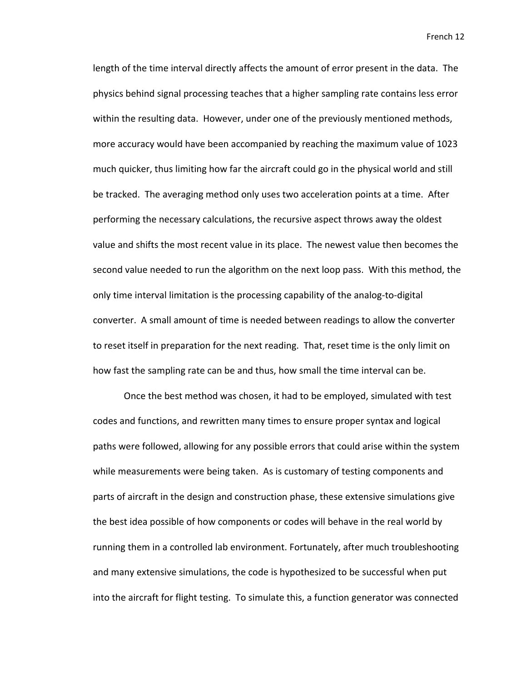length of the time interval directly affects the amount of error present in the data. The physics behind signal processing teaches that a higher sampling rate contains less error within the resulting data. However, under one of the previously mentioned methods, more accuracy would have been accompanied by reaching the maximum value of 1023 much quicker, thus limiting how far the aircraft could go in the physical world and still be tracked. The averaging method only uses two acceleration points at a time. After performing the necessary calculations, the recursive aspect throws away the oldest value and shifts the most recent value in its place. The newest value then becomes the second value needed to run the algorithm on the next loop pass. With this method, the only time interval limitation is the processing capability of the analog‐to‐digital converter. A small amount of time is needed between readings to allow the converter to reset itself in preparation for the next reading. That, reset time is the only limit on how fast the sampling rate can be and thus, how small the time interval can be.

Once the best method was chosen, it had to be employed, simulated with test codes and functions, and rewritten many times to ensure proper syntax and logical paths were followed, allowing for any possible errors that could arise within the system while measurements were being taken. As is customary of testing components and parts of aircraft in the design and construction phase, these extensive simulations give the best idea possible of how components or codes will behave in the real world by running them in a controlled lab environment. Fortunately, after much troubleshooting and many extensive simulations, the code is hypothesized to be successful when put into the aircraft for flight testing. To simulate this, a function generator was connected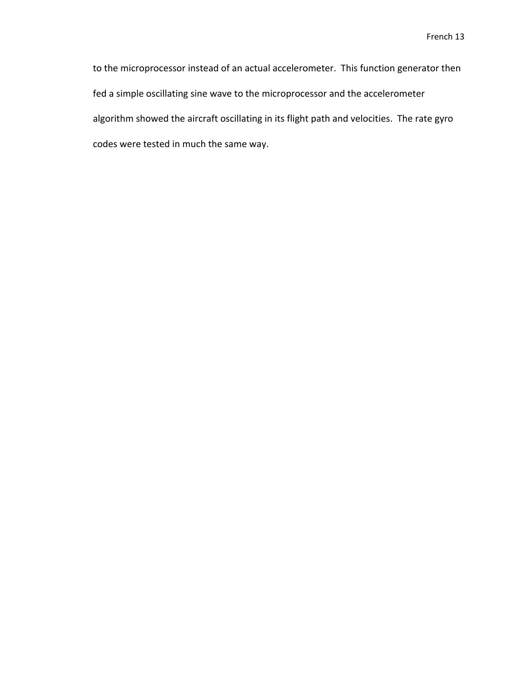to the microprocessor instead of an actual accelerometer. This function generator then fed a simple oscillating sine wave to the microprocessor and the accelerometer algorithm showed the aircraft oscillating in its flight path and velocities. The rate gyro codes were tested in much the same way.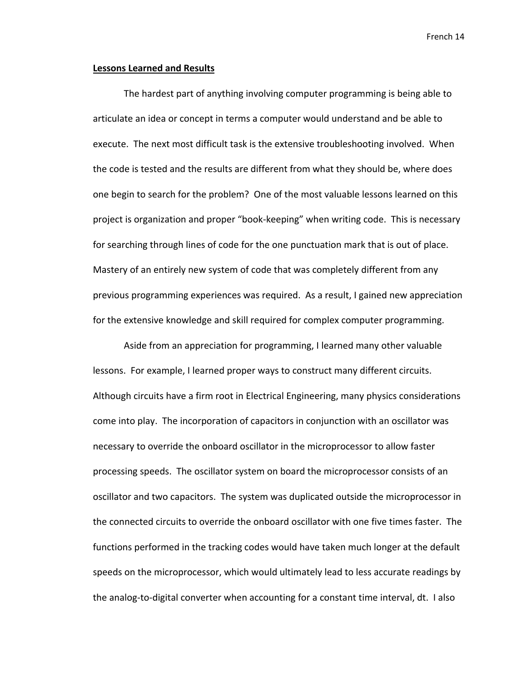### **Lessons Learned and Results**

The hardest part of anything involving computer programming is being able to articulate an idea or concept in terms a computer would understand and be able to execute. The next most difficult task is the extensive troubleshooting involved. When the code is tested and the results are different from what they should be, where does one begin to search for the problem? One of the most valuable lessons learned on this project is organization and proper "book‐keeping" when writing code. This is necessary for searching through lines of code for the one punctuation mark that is out of place. Mastery of an entirely new system of code that was completely different from any previous programming experiences was required. As a result, I gained new appreciation for the extensive knowledge and skill required for complex computer programming.

Aside from an appreciation for programming, I learned many other valuable lessons. For example, I learned proper ways to construct many different circuits. Although circuits have a firm root in Electrical Engineering, many physics considerations come into play. The incorporation of capacitors in conjunction with an oscillator was necessary to override the onboard oscillator in the microprocessor to allow faster processing speeds. The oscillator system on board the microprocessor consists of an oscillator and two capacitors. The system was duplicated outside the microprocessor in the connected circuits to override the onboard oscillator with one five times faster. The functions performed in the tracking codes would have taken much longer at the default speeds on the microprocessor, which would ultimately lead to less accurate readings by the analog‐to‐digital converter when accounting for a constant time interval, dt. I also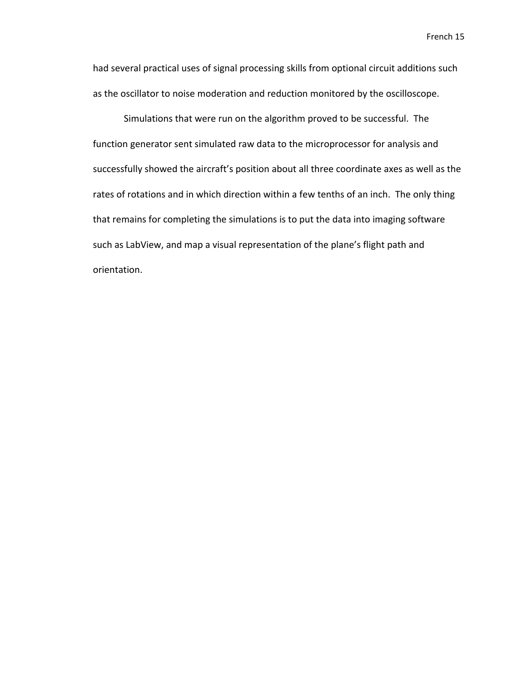had several practical uses of signal processing skills from optional circuit additions such as the oscillator to noise moderation and reduction monitored by the oscilloscope.

Simulations that were run on the algorithm proved to be successful. The function generator sent simulated raw data to the microprocessor for analysis and successfully showed the aircraft's position about all three coordinate axes as well as the rates of rotations and in which direction within a few tenths of an inch. The only thing that remains for completing the simulations is to put the data into imaging software such as LabView, and map a visual representation of the plane's flight path and orientation.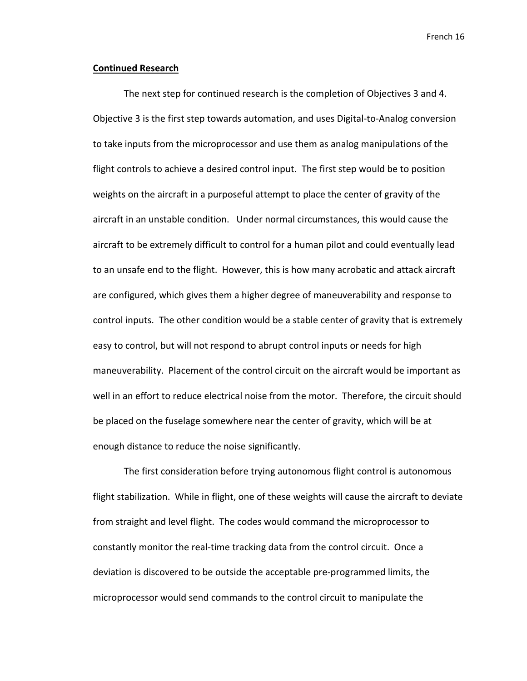### **Continued Research**

The next step for continued research is the completion of Objectives 3 and 4. Objective 3 is the first step towards automation, and uses Digital‐to‐Analog conversion to take inputs from the microprocessor and use them as analog manipulations of the flight controls to achieve a desired control input. The first step would be to position weights on the aircraft in a purposeful attempt to place the center of gravity of the aircraft in an unstable condition. Under normal circumstances, this would cause the aircraft to be extremely difficult to control for a human pilot and could eventually lead to an unsafe end to the flight. However, this is how many acrobatic and attack aircraft are configured, which gives them a higher degree of maneuverability and response to control inputs. The other condition would be a stable center of gravity that is extremely easy to control, but will not respond to abrupt control inputs or needs for high maneuverability. Placement of the control circuit on the aircraft would be important as well in an effort to reduce electrical noise from the motor. Therefore, the circuit should be placed on the fuselage somewhere near the center of gravity, which will be at enough distance to reduce the noise significantly.

The first consideration before trying autonomous flight control is autonomous flight stabilization. While in flight, one of these weights will cause the aircraft to deviate from straight and level flight. The codes would command the microprocessor to constantly monitor the real‐time tracking data from the control circuit. Once a deviation is discovered to be outside the acceptable pre‐programmed limits, the microprocessor would send commands to the control circuit to manipulate the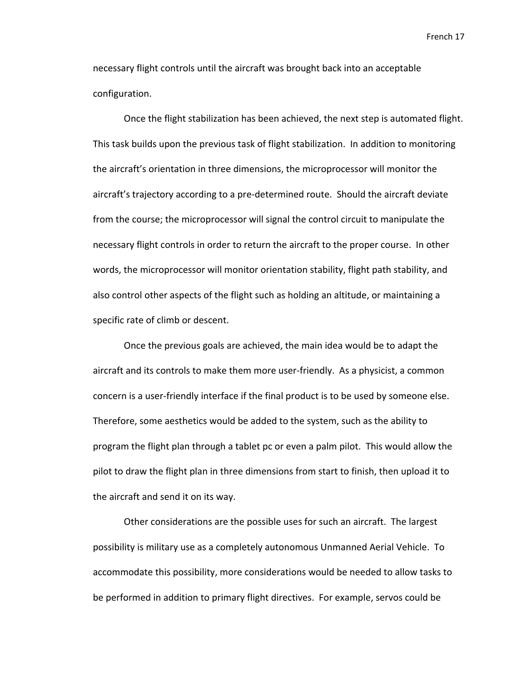necessary flight controls until the aircraft was brought back into an acceptable configuration.

Once the flight stabilization has been achieved, the next step is automated flight. This task builds upon the previous task of flight stabilization. In addition to monitoring the aircraft's orientation in three dimensions, the microprocessor will monitor the aircraft's trajectory according to a pre‐determined route. Should the aircraft deviate from the course; the microprocessor will signal the control circuit to manipulate the necessary flight controls in order to return the aircraft to the proper course. In other words, the microprocessor will monitor orientation stability, flight path stability, and also control other aspects of the flight such as holding an altitude, or maintaining a specific rate of climb or descent.

Once the previous goals are achieved, the main idea would be to adapt the aircraft and its controls to make them more user-friendly. As a physicist, a common concern is a user‐friendly interface if the final product is to be used by someone else. Therefore, some aesthetics would be added to the system, such as the ability to program the flight plan through a tablet pc or even a palm pilot. This would allow the pilot to draw the flight plan in three dimensions from start to finish, then upload it to the aircraft and send it on its way.

Other considerations are the possible uses for such an aircraft. The largest possibility is military use as a completely autonomous Unmanned Aerial Vehicle. To accommodate this possibility, more considerations would be needed to allow tasks to be performed in addition to primary flight directives. For example, servos could be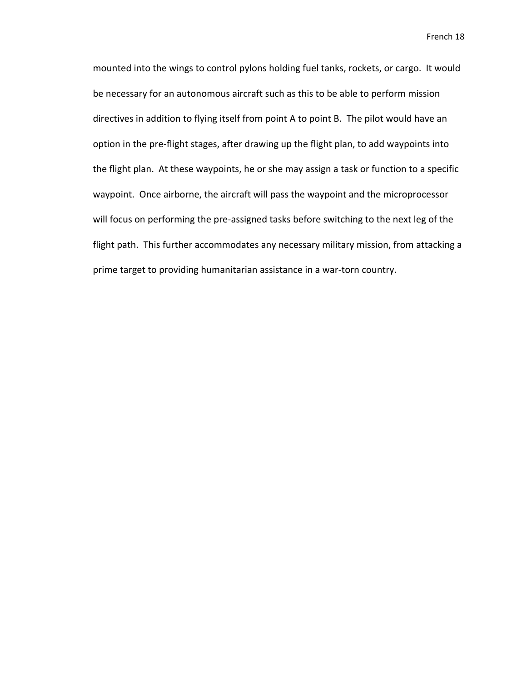mounted into the wings to control pylons holding fuel tanks, rockets, or cargo. It would be necessary for an autonomous aircraft such as this to be able to perform mission directives in addition to flying itself from point A to point B. The pilot would have an option in the pre‐flight stages, after drawing up the flight plan, to add waypoints into the flight plan. At these waypoints, he or she may assign a task or function to a specific waypoint. Once airborne, the aircraft will pass the waypoint and the microprocessor will focus on performing the pre‐assigned tasks before switching to the next leg of the flight path. This further accommodates any necessary military mission, from attacking a prime target to providing humanitarian assistance in a war-torn country.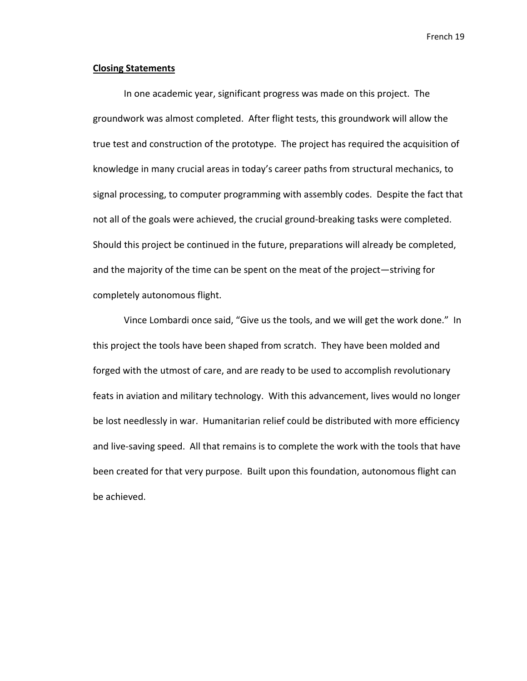### **Closing Statements**

In one academic year, significant progress was made on this project. The groundwork was almost completed. After flight tests, this groundwork will allow the true test and construction of the prototype. The project has required the acquisition of knowledge in many crucial areas in today's career paths from structural mechanics, to signal processing, to computer programming with assembly codes. Despite the fact that not all of the goals were achieved, the crucial ground‐breaking tasks were completed. Should this project be continued in the future, preparations will already be completed, and the majority of the time can be spent on the meat of the project—striving for completely autonomous flight.

Vince Lombardi once said, "Give us the tools, and we will get the work done." In this project the tools have been shaped from scratch. They have been molded and forged with the utmost of care, and are ready to be used to accomplish revolutionary feats in aviation and military technology. With this advancement, lives would no longer be lost needlessly in war. Humanitarian relief could be distributed with more efficiency and live‐saving speed. All that remains is to complete the work with the tools that have been created for that very purpose. Built upon this foundation, autonomous flight can be achieved.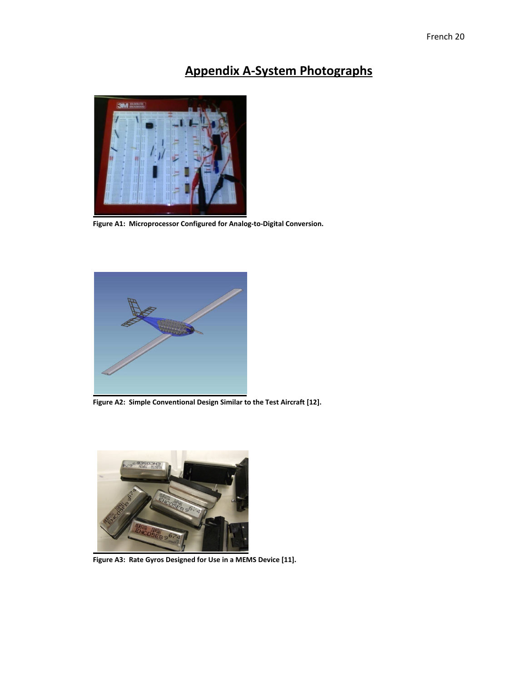## **Appendix A‐System Photographs**



**Figure A1: Microprocessor Configured for Analog‐to‐Digital Conversion.**



**Figure A2: Simple Conventional Design Similar to the Test Aircraft [12].**



**Figure A3: Rate Gyros Designed for Use in a MEMS Device [11].**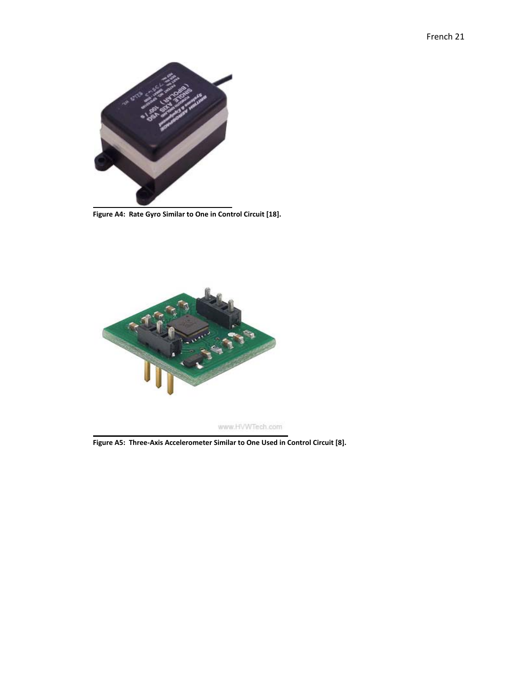

**Figure A4: Rate Gyro Similar to One in Control Circuit [18].**



www.HVWTech.com

**Figure A5: Three‐Axis Accelerometer Similar to One Used in Control Circuit [8].**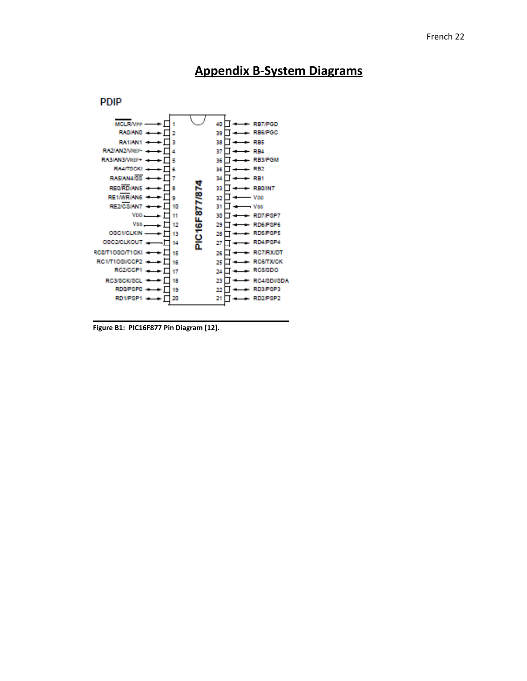

## **Appendix B‐System Diagrams**

**Figure B1: PIC16F877 Pin Diagram [12].**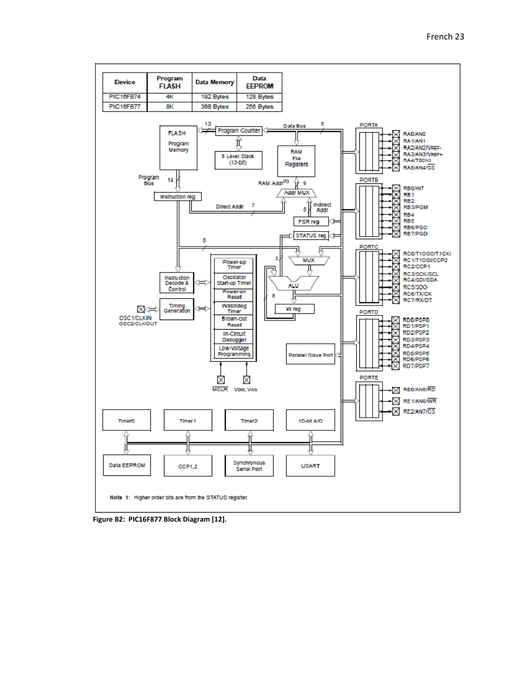

**Figure B2: PIC16F877 Block Diagram [12].**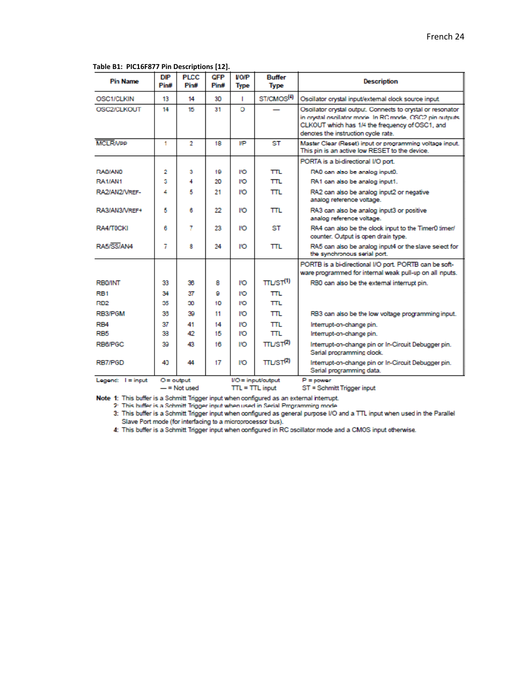| <b>Pin Name</b>     | <b>DIP</b><br>Pin# | <b>PLCC</b><br>Pin# | <b>GFP</b><br>Pin# | <b>VO/P</b><br><b>Type</b> | <b>Buffer</b><br><b>Type</b> | <b>Description</b>                                                                                                                                                                                                |
|---------------------|--------------------|---------------------|--------------------|----------------------------|------------------------------|-------------------------------------------------------------------------------------------------------------------------------------------------------------------------------------------------------------------|
| OSC1/CLKIN          | 13                 | 14                  | 30                 | п                          | ST/CMOS <sup>(4)</sup>       | Oscillator crystal input/external clock source input.                                                                                                                                                             |
| OSC2/CLKOUT         | 14                 | 15                  | 31                 | Ō                          |                              | Oscillator crystal output. Connects to crystal or resonator<br>in crystal oscillator mode. In RC mode, OSC2 pin outputs<br>CLKOUT which has 1/4 the frequency of OSC1, and<br>denotes the instruction cycle rate. |
| <b>MCI RMPP</b>     | 1                  | $\overline{2}$      | 18                 | I/P                        | ST                           | Master Clear (Reset) input or programming voltage input.<br>This pin is an active low RESET to the device.                                                                                                        |
|                     |                    |                     |                    |                            |                              | PORTA is a bi-directional I/O port.                                                                                                                                                                               |
| RA0/AND             | 2                  | з                   | 19                 | ľO                         | πL                           | RA0 can also be analog input0.                                                                                                                                                                                    |
| RA1/AN1             | 3                  | 4                   | 20                 | ľЮ                         | πL                           | RA1 can also be analog input1.                                                                                                                                                                                    |
| RA2/AN2/VREF-       | 4                  | 5                   | 21                 | l'O                        | πL.                          | RA2 can also be analog input2 or negative<br>analog reference voltage.                                                                                                                                            |
| RA3/AN3/VREF+       | 5                  | 6                   | 22                 | l'O                        | TTL                          | RA3 can also be analog input3 or positive<br>analog reference voltage.                                                                                                                                            |
| RA4/T0CKI           | 6                  | 7                   | 23                 | l'O                        | <b>ST</b>                    | RA4 can also be the clock input to the Timer0 timer/<br>counter. Output is open drain type.                                                                                                                       |
| RA5/SS/AN4          | 7                  | 8                   | 24                 | ľЮ                         | πL                           | RA5 can also be analog input4 or the slave select for<br>the synchronous serial port.                                                                                                                             |
|                     |                    |                     |                    |                            |                              | PORTB is a bi-directional I/O port. PORTB can be soft-<br>ware programmed for internal weak pull-up on all inputs.                                                                                                |
| <b>RB0/INT</b>      | 33                 | 36                  | 8                  | ľЮ                         | TLST <sup>(1)</sup>          | RB0 can also be the external interrupt pin.                                                                                                                                                                       |
| RB <sub>1</sub>     | 34                 | 37                  | я                  | l'O                        | πL                           |                                                                                                                                                                                                                   |
| RB <sub>2</sub>     | 35                 | 30.                 | 10                 | ľO                         | πL                           |                                                                                                                                                                                                                   |
| RB3/PGM             | 36                 | 39                  | 11                 | <b>IO</b>                  | πL                           | RB3 can also be the low voltage programming input.                                                                                                                                                                |
| RB <sub>4</sub>     | 37                 | 41                  | 14                 | I'O                        | πL                           | Interrupt-on-change pin.                                                                                                                                                                                          |
| RB <sub>5</sub>     | 33                 | 42                  | 15                 | I/O                        | πL                           | Interrupt-on-change pin.                                                                                                                                                                                          |
| RB6/PGC             | 39                 | 43.                 | 16                 | <b>IO</b>                  | TLST <sup>(2)</sup>          | Interrupt-on-change pin or In-Circuit Debugger pin.<br>Serial procramming clock.                                                                                                                                  |
| RB7/PGD             | 41                 | 44                  | 17                 | <b>I</b> O                 | TLST <sup>(2)</sup>          | Interrupt-on-change pin or In-Circuit Debugger pin.<br>Serial programming data.                                                                                                                                   |
| Legend: $I = input$ | $O =$ output       | $=$ Not used        |                    | $TTL = TTL$ input          | $UO = input/output$          | $P = power$<br>ST = Schmitt Trigger input                                                                                                                                                                         |

**Table B1: PIC16F877 Pin Descriptions [12].**

 $TTL = TTL input$  $-$  = Not used

Note 1: This buffer is a Schmitt Trigger input when configured as an external interrupt.

2: This buffer is a Schmitt Trigger input when used in Serial Programming mode

3: This buffer is a Schmitt Trigger input when configured as general purpose I/O and a TTL input when used in the Parallel Slave Port mode (for interfacing to a microprocessor bus).

4: This buffer is a Schmitt Trigger input when configured in RC oscillator mode and a CMOS input otherwise.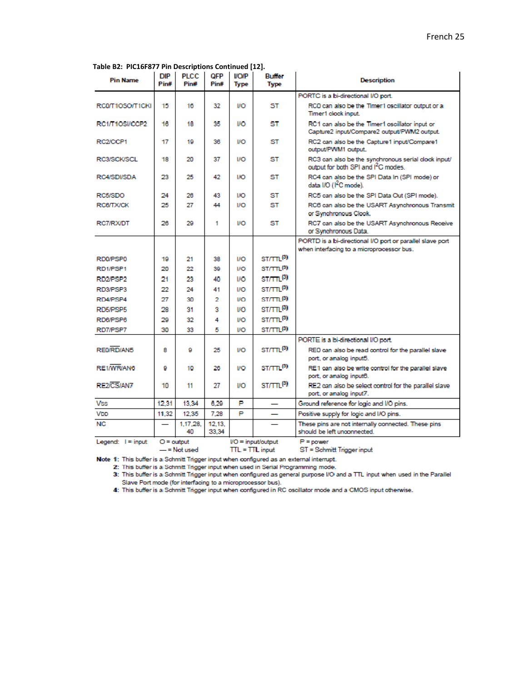|  |  |  | Table B2: PIC16F877 Pin Descriptions Continued [12]. |
|--|--|--|------------------------------------------------------|
|--|--|--|------------------------------------------------------|

| <b>Pin Name</b>     | <b>DIP</b><br>Pin# | <b>PLCC</b><br>Pin# | <b>OFP</b><br>Pin# | <b>VO/P</b><br><b>Type</b> | <b>Buffer</b><br><b>Type</b> | <b>Description</b>                                                                                     |
|---------------------|--------------------|---------------------|--------------------|----------------------------|------------------------------|--------------------------------------------------------------------------------------------------------|
|                     |                    |                     |                    |                            |                              | PORTC is a bi-directional I/O port.                                                                    |
| RC0/T1OSO/T1CKI     | 15                 | 16                  | 32                 | <b>I/O</b>                 | ST                           | RCD can also be the Timer1 oscillator output or a<br>Timer1 clock input.                               |
| RC1/T1OSI/CCP2      | 16                 | 18                  | 35                 | IVO                        | ST                           | RC1 can also be the Timer1 oscillator input or<br>Capture2 input/Compare2 output/PWM2 output.          |
| RC2/CCP1            | 17                 | 19                  | 36                 | <b>I/O</b>                 | ST                           | RC2 can also be the Capture1 input/Compare1<br>output/PWM1 output.                                     |
| RC3/SCK/SCL         | 18                 | 20                  | 37                 | <b>I/O</b>                 | ST                           | RC3 can also be the synchronous serial clock input/<br>output for both SPI and I <sup>2</sup> C modes. |
| RC4/SDI/SDA         | 23                 | 25                  | 42                 | I/O                        | ST                           | RC4 can also be the SPI Data In (SPI mode) or<br>data I/O (1 <sup>2</sup> C mode).                     |
| RC5/SDO             | 24                 | 26                  | 43                 | <b>I/O</b>                 | ST                           | RC5 can also be the SPI Data Out (SPI mode).                                                           |
| <b>RC8/TX/CK</b>    | 25                 | 27                  | 44                 | I/O                        | ST                           | RC6 can also be the USART Asynchronous Transmit<br>or Synchronous Clock.                               |
| RC7/RX/DT           | 26                 | 29                  | 1                  | <b>I/O</b>                 | ST                           | RC7 can also be the USART Asynchronous Receive<br>or Synchronous Data.                                 |
|                     |                    |                     |                    |                            |                              | PORTD is a bi-directional I/O port or parallel slave port                                              |
|                     |                    |                     |                    |                            |                              | when interfacing to a microprocessor bus.                                                              |
| RD0/PSP0            | 19                 | 21                  | 38                 | <b>I/O</b>                 | $ST/TT^{(3)}$                |                                                                                                        |
| RD1/PSP1            | 20                 | 22                  | 39                 | <b>I/O</b>                 | ST/TTL <sup>(3)</sup>        |                                                                                                        |
| RD2/PSP2            | 21                 | 23                  | 40                 | IVO                        | $ST/T1^{(3)}$                |                                                                                                        |
| RD3/PSP3            | 22                 | 24                  | 41                 | <b>I/O</b>                 | ST/TTL(3)                    |                                                                                                        |
| RD4/PSP4            | 27                 | 30                  | 2                  | <b>I/O</b>                 | ST/TTL(3)                    |                                                                                                        |
| RD5/PSP5            | 28                 | 31                  | 9                  | IΛO                        | ST/TTL <sup>(3)</sup>        |                                                                                                        |
| RD6/PSP6            | 29                 | 32                  | 4                  | <b>I/O</b>                 | ST/TTL <sup>(3)</sup>        |                                                                                                        |
| RD7/PSP7            | 30                 | 33                  | 5                  | <b>I/O</b>                 | ST/TTL(3)                    |                                                                                                        |
|                     |                    |                     |                    |                            |                              | PORTE is a bi-directional I/O port.                                                                    |
| REMRD/AN5           | R                  | Ω                   | 25                 | <b>I/O</b>                 | ST/TTL <sup>(3)</sup>        | RED can also be read control for the parallel slave<br>port, or analog input5.                         |
| RE1/WR/AN6          | 9                  | 10                  | 26                 | <b>I/O</b>                 | ST/TTL <sup>(3)</sup>        | RE1 can also be write control for the parallel slave<br>port, or analog input6.                        |
| RE2/CS/AN7          | 10                 | 11                  | 27                 | IЮ                         | ST/TTL <sup>(3)</sup>        | RE2 can also be select control for the parallel slave<br>port, or analog input7.                       |
| <b>Vss</b>          | 12.31              | 13.34               | 6.29               | Þ                          |                              | Ground reference for logic and I/O pins.                                                               |
| VDD                 | 11.32              | 12.35               | 7.28               | Þ                          |                              | Positive supply for logic and I/O pins.                                                                |
| <b>NC</b>           |                    | 1.17.28.<br>40      | 12.13.<br>33.34    |                            |                              | These pins are not internally connected. These pins<br>should be left unconnected.                     |
| Legend: $I = input$ | $O =$ output       | - = Not used        |                    | $TL = TTL$ input           | $VO = input/output$          | $P = power$<br>ST = Schmitt Trigger input                                                              |

Note 1: This buffer is a Schmitt Trigger input when configured as an external interrupt.

2: This buffer is a Schmitt Trigger input when used in Serial Programming mode.

3: This buffer is a Schmitt Trigger input when configured as general purpose I/O and a TTL input when used in the Parallel Slave Port mode (for interfacing to a microprocessor bus).<br>4: This buffer is a Schmitt Trigger input when configured in RC oscillator mode and a CMOS input otherwise.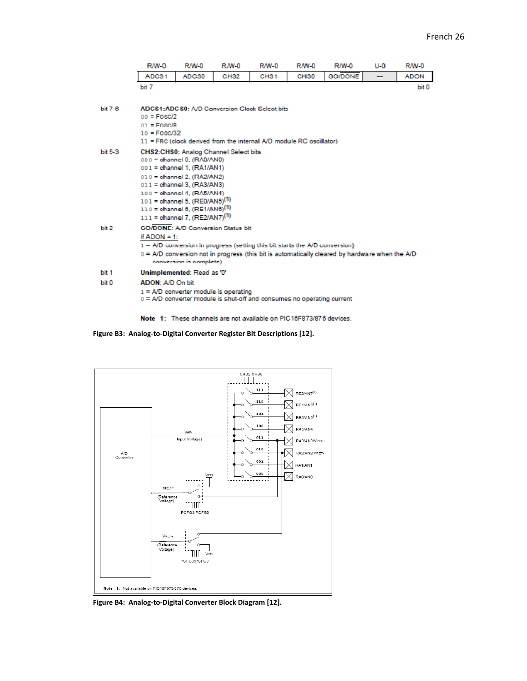|           | <b>R/W-0</b>                           | <b>R/W-0</b>                                                                | <b>R/W-0</b> | R/W-0            | <b>R/W-0</b>     | <b>R/W-0</b>                                                                                   | $U - 0$ | <b>R/W-0</b> |
|-----------|----------------------------------------|-----------------------------------------------------------------------------|--------------|------------------|------------------|------------------------------------------------------------------------------------------------|---------|--------------|
|           | ADC31                                  | ADC30                                                                       | <b>CH32</b>  | CH <sub>31</sub> | CH <sub>30</sub> | GO/DONE                                                                                        | —       | <b>ADON</b>  |
|           | bit 7                                  |                                                                             |              |                  |                  |                                                                                                |         | bit 0        |
|           |                                        |                                                                             |              |                  |                  |                                                                                                |         |              |
| bit76     |                                        | ADC\$1:ADC\$0: A/D Conversion Clook Select bits                             |              |                  |                  |                                                                                                |         |              |
|           | $00 = Fosc/2$<br>$01 = F08C/R$         |                                                                             |              |                  |                  |                                                                                                |         |              |
|           | $10 = F \text{O} \cdot \text{SO} / 32$ |                                                                             |              |                  |                  |                                                                                                |         |              |
|           |                                        | 11 = FRC (clock derived from the internal A/D module RC oscillator)         |              |                  |                  |                                                                                                |         |              |
| bit $5-3$ |                                        | CHS2:CHS0: Analog Channel Select bits                                       |              |                  |                  |                                                                                                |         |              |
|           |                                        | 000 - channel 0, (RA0/AN0)                                                  |              |                  |                  |                                                                                                |         |              |
|           |                                        | 001 = channel 1, (RA1/AN1)                                                  |              |                  |                  |                                                                                                |         |              |
|           |                                        | 010 - channel 2, (RA2/AN2)<br>011 = channel 3, (RA3/AN3)                    |              |                  |                  |                                                                                                |         |              |
|           |                                        | 100 = ohannel 4, (RA5/AN4)                                                  |              |                  |                  |                                                                                                |         |              |
|           |                                        | 101 = channel 5, (RE0/AN5) <sup>(1)</sup>                                   |              |                  |                  |                                                                                                |         |              |
|           |                                        | $110 =$ channel 6, (RE1/AN6) <sup>(1)</sup>                                 |              |                  |                  |                                                                                                |         |              |
|           |                                        | 111 = channel 7, (RE2/AN7) <sup>(1)</sup>                                   |              |                  |                  |                                                                                                |         |              |
| bit 2     |                                        | <b>GO/DONE: A/D Conversion Status bit</b>                                   |              |                  |                  |                                                                                                |         |              |
|           | If ADON = $1$ :                        |                                                                             |              |                  |                  |                                                                                                |         |              |
|           |                                        | 1 - A/D conversion in progress (setting this bit starts the A/D conversion) |              |                  |                  |                                                                                                |         |              |
|           |                                        | conversion is complete)                                                     |              |                  |                  | 0 = A/D conversion not in progress (this bit is automatically cleared by hardware when the A/D |         |              |
| bit 1     |                                        | Unimplemented: Read as '0'                                                  |              |                  |                  |                                                                                                |         |              |
| bit 0     | ADON: A/D On bit                       |                                                                             |              |                  |                  |                                                                                                |         |              |
|           |                                        | $1 = A/D$ converter module is operating                                     |              |                  |                  |                                                                                                |         |              |
|           |                                        | 0 = A/D converter module is shut-off and consumes no operating current      |              |                  |                  |                                                                                                |         |              |
|           |                                        |                                                                             |              |                  |                  |                                                                                                |         |              |

Note 1: These channels are not available on PIC16F873/876 devices.

**Figure B3: Analog‐to‐Digital Converter Register Bit Descriptions [12].**



**Figure B4: Analog‐to‐Digital Converter Block Diagram [12].**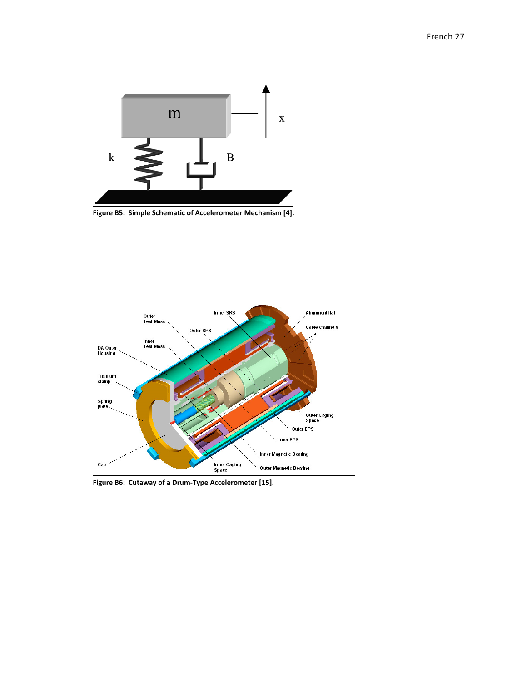

**Figure B5: Simple Schematic of Accelerometer Mechanism [4].**



**Figure B6: Cutaway of a Drum‐Type Accelerometer [15].**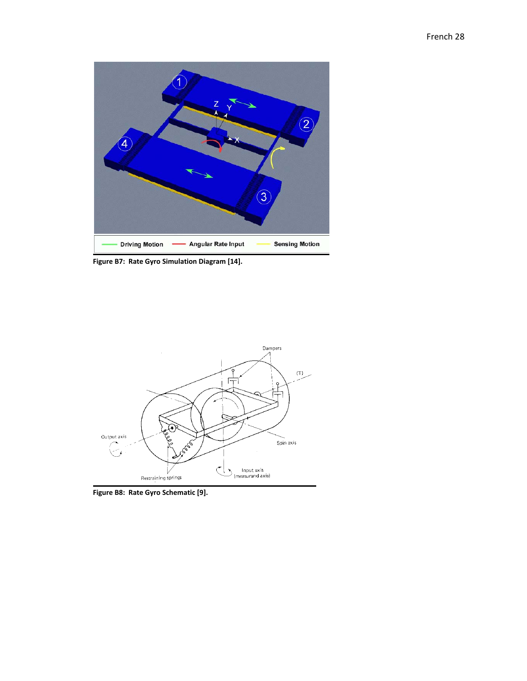

**Figure B7: Rate Gyro Simulation Diagram [14].**



**Figure B8: Rate Gyro Schematic [9].**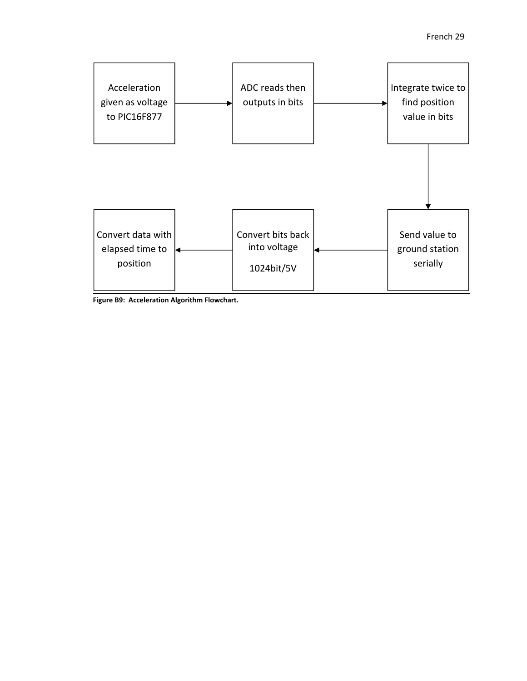

**Figure B9: Acceleration Algorithm Flowchart.**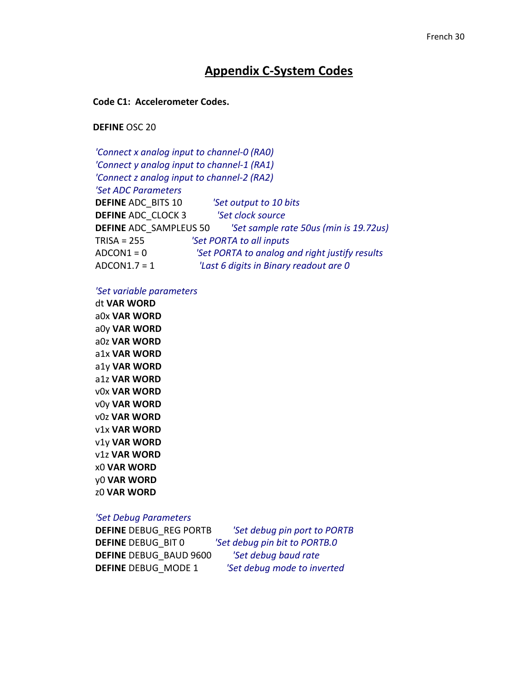### **Appendix C‐System Codes**

### **Code C1: Accelerometer Codes.**

**DEFINE** OSC 20

*'Connect x analog input to channel‐0 (RA0) 'Connect y analog input to channel‐1 (RA1) 'Connect z analog input to channel‐2 (RA2) 'Set ADC Parameters* **DEFINE** ADC\_BITS 10 *'Set output to 10 bits* **DEFINE** ADC\_CLOCK 3 *'Set clock source* **DEFINE** ADC\_SAMPLEUS 50 *'Set sample rate 50us (min is 19.72us)* TRISA = 255 *'Set PORTA to all inputs* ADCON1 = 0 *'Set PORTA to analog and right justify results* ADCON1.7 = 1 *'Last 6 digits in Binary readout are 0*

*'Set variable parameters*

dt **VAR WORD** a0x **VAR WORD** a0y **VAR WORD** a0z **VAR WORD** a1x **VAR WORD** a1y **VAR WORD** a1z **VAR WORD** v0x **VAR WORD** v0y **VAR WORD** v0z **VAR WORD** v1x **VAR WORD** v1y **VAR WORD** v1z **VAR WORD** x0 **VAR WORD** y0 **VAR WORD** z0 **VAR WORD** 

### *'Set Debug Parameters*

**DEFINE** DEBUG\_REG PORTB *'Set debug pin port to PORTB* **DEFINE** DEBUG\_BIT 0 *'Set debug pin bit to PORTB.0* **DEFINE** DEBUG\_BAUD 9600 *'Set debug baud rate* **DEFINE** DEBUG\_MODE 1 *'Set debug mode to inverted*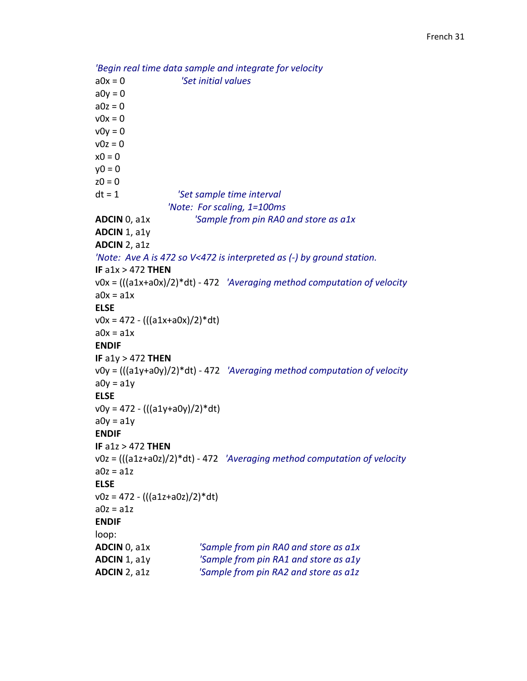```
'Begin real time data sample and integrate for velocity
a0x = 0                        'Set initial values
a0y = 0a0z = 0v0x = 0v0y = 0v0z = 0x0 = 0v0 = 0z0 = 0dt = 1                         'Set sample time interval
                                                  'Note:  For scaling, 1=100ms
ADCIN 0, a1x                   'Sample from pin RA0 and store as a1x
ADCIN 1, a1y
ADCIN 2, a1z
'Note:  Ave A is 472 so V<472 is interpreted as (‐) by ground station.
IF a1x > 472 THEN
v0x = (((a1x+a0x)/2)*dt) ‐ 472   'Averaging method computation of velocity
a0x = a1xELSE
v0x = 472 - (((a1x+a0x)/2)*dt)a0x = a1xENDIF
IF a1y > 472 THEN
v0y = (((a1y+a0y)/2)*dt) ‐ 472   'Averaging method computation of velocity
a0y = a1yELSE
v0y = 472 - (((a1y+a0y)/2)*dt)a0y = a1yENDIF
IF a1z > 472 THEN
v0z = (((a1z+a0z)/2)*dt) ‐ 472   'Averaging method computation of velocity
a0z = a1zELSE
v0z = 472 - (((a1z+a0z)/2)^*dt)a0z = a1zENDIF
loop:
ADCIN 0, a1x                     'Sample from pin RA0 and store as a1x
ADCIN 1, a1y                     'Sample from pin RA1 and store as a1y
ADCIN 2, a1z                     'Sample from pin RA2 and store as a1z
```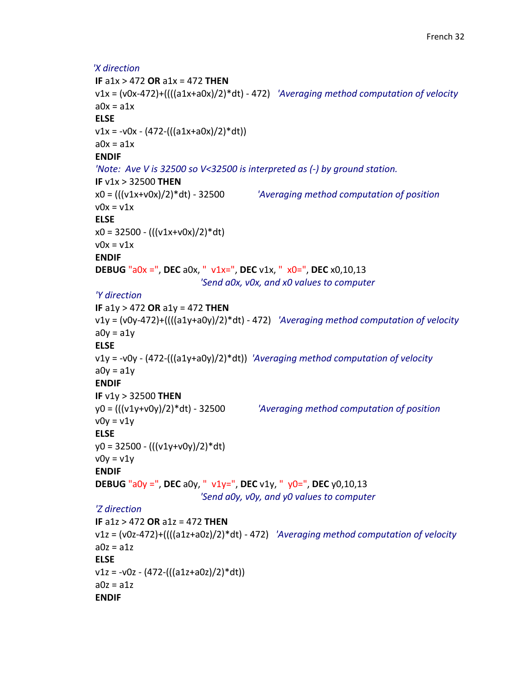```
'X direction
IF a1x > 472 OR a1x = 472 THEN
v1x = (v0x‐472)+((((a1x+a0x)/2)*dt) ‐ 472)   'Averaging method computation of velocity
a0x = a1xELSE
v1x = -v0x - (472-(((a1x+a0x)/2)*dt))a0x = a1xENDIF
'Note:  Ave V is 32500 so V<32500 is interpreted as (‐) by ground station.
IF v1x > 32500 THEN
x0 = (((v1x+v0x)/2)*dt) ‐ 32500              'Averaging method computation of position
v0x = v1xELSE
x0 = 32500 - ((v1x+v0x)/2)*dtv0x = v1xENDIF
DEBUG "a0x =", DEC a0x, "  v1x=", DEC v1x, "  x0=", DEC x0,10,13       
                                                                         'Send a0x, v0x, and x0 values to computer
'Y direction
IF a1y > 472 OR a1y = 472 THEN                    
v1y = (v0y‐472)+((((a1y+a0y)/2)*dt) ‐ 472)   'Averaging method computation of velocity
a0v = a1vELSE
v1y = ‐v0y ‐ (472‐(((a1y+a0y)/2)*dt))  'Averaging method computation of velocity
a0y = a1yENDIF
IF v1y > 32500 THEN
y0 = (((v1y+v0y)/2)*dt) ‐ 32500              'Averaging method computation of position
v0y = v1yELSE
y0 = 32500 ‐ (((v1y+v0y)/2)*dt)
v0y = v1yENDIF
DEBUG "a0y =", DEC a0y, "  v1y=", DEC v1y, "  y0=", DEC y0,10,13       
                                                                          'Send a0y, v0y, and y0 values to computer
'Z direction
IF a1z > 472 OR a1z = 472 THEN
v1z = (v0z‐472)+((((a1z+a0z)/2)*dt) ‐ 472)   'Averaging method computation of velocity
a0z = a1zELSE
v1z = -v0z - (472 - (((a1z + a0z)/2)*dt))a0z = a1zENDIF
```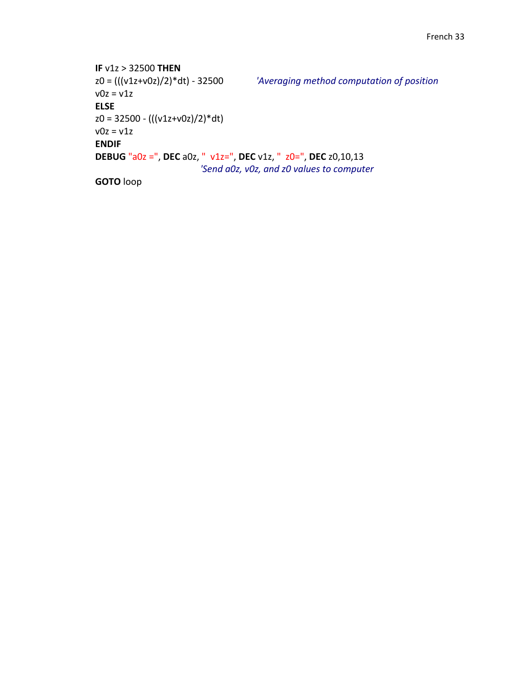```
IF v1z > 32500 THEN
z0 = (((v1z+v0z)/2)*dt) ‐ 32500              'Averaging method computation of position
v0z = v1zELSE
z0 = 32500 - (((v1z+v0z)/2)^*dt)v0z = v1zENDIF
DEBUG "a0z =", DEC a0z, "  v1z=", DEC v1z, "  z0=", DEC z0,10,13       
                                                                           'Send a0z, v0z, and z0 values to computer    
GOTO loop
```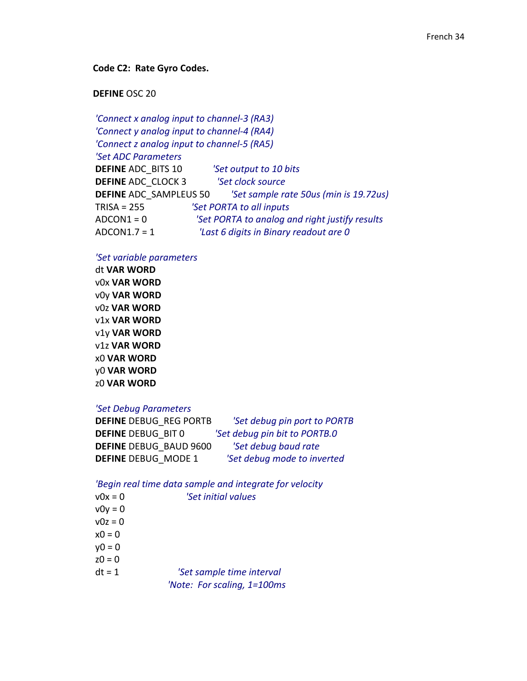### **Code C2: Rate Gyro Codes.**

### **DEFINE** OSC 20

*'Connect x analog input to channel‐3 (RA3) 'Connect y analog input to channel‐4 (RA4) 'Connect z analog input to channel‐5 (RA5) 'Set ADC Parameters* **DEFINE** ADC\_BITS 10 *'Set output to 10 bits* **DEFINE** ADC\_CLOCK 3 *'Set clock source* **DEFINE** ADC\_SAMPLEUS 50 *'Set sample rate 50us (min is 19.72us)* TRISA = 255 *'Set PORTA to all inputs* ADCON1 = 0 *'Set PORTA to analog and right justify results* ADCON1.7 = 1 *'Last 6 digits in Binary readout are 0*

### *'Set variable parameters*

dt **VAR WORD** v0x **VAR WORD** v0y **VAR WORD** v0z **VAR WORD** v1x **VAR WORD** v1y **VAR WORD** v1z **VAR WORD** x0 **VAR WORD** y0 **VAR WORD** z0 **VAR WORD** 

### *'Set Debug Parameters*

| <b>DEFINE DEBUG REG PORTB</b> | 'Set debug pin port to PORTB  |
|-------------------------------|-------------------------------|
| <b>DEFINE DEBUG BIT 0</b>     | 'Set debug pin bit to PORTB.0 |
| <b>DEFINE DEBUG BAUD 9600</b> | 'Set debug baud rate          |
| <b>DEFINE DEBUG MODE 1</b>    | 'Set debug mode to inverted   |

### *'Begin real time data sample and integrate for velocity*

| $v0x = 0$ | 'Set initial values         |
|-----------|-----------------------------|
| $v0y = 0$ |                             |
| $v0z = 0$ |                             |
| $x0 = 0$  |                             |
| $y0 = 0$  |                             |
| $z0 = 0$  |                             |
| $dt = 1$  | 'Set sample time interval   |
|           | 'Note: For scaling, 1=100ms |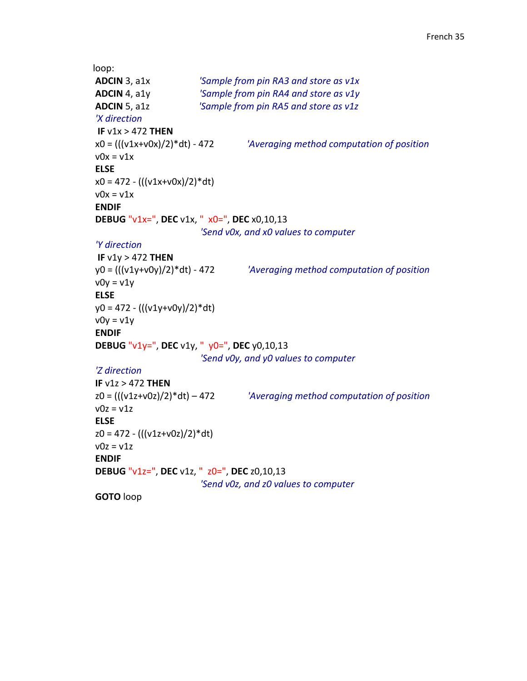```
loop:
ADCIN 3, a1x                     'Sample from pin RA3 and store as v1x
ADCIN 4, a1y                     'Sample from pin RA4 and store as v1y
ADCIN 5, a1z                     'Sample from pin RA5 and store as v1z
'X direction
  IF v1x > 472 THEN
x0 = (((v1x+v0x)/2)*dt) ‐ 472              'Averaging method computation of position
v0x = v1xELSE
x0 = 472 - (((v1x+v0x)/2)*dt)v0x = v1xENDIF
DEBUG "v1x=", DEC v1x, "  x0=", DEC x0,10,13       
                                                                            'Send v0x, and x0 values to computer
'Y direction
IF v1y > 472 THEN
y0 = (((v1y+v0y)/2)*dt) ‐ 472              'Averaging method computation of position
v0y = v1yELSE
y0 = 472 - (((v1y+v0y)/2)*dt)v0y = v1yENDIF
DEBUG "v1y=", DEC v1y, "  y0=", DEC y0,10,13       
                                                                            'Send v0y, and y0 values to computer
'Z direction
IF v1z > 472 THEN
z0 = (((v1z+v0z)/2)*dt) – 472              'Averaging method computation of position
v0z = v1zELSE
z0 = 472 ‐ (((v1z+v0z)/2)*dt)
v0z = v1zENDIF
DEBUG "v1z=", DEC v1z, "  z0=", DEC z0,10,13       
                                                                            'Send v0z, and z0 values to computer    
GOTO loop
```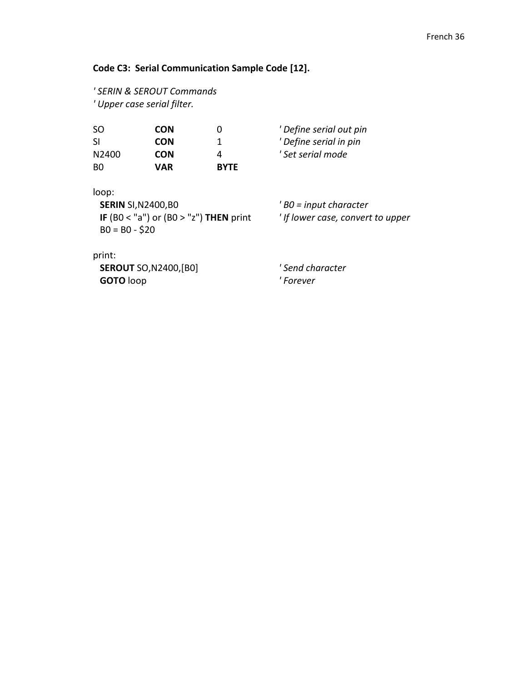### **Code C3: Serial Communication Sample Code [12].**

```
' SERIN & SEROUT Commands
' Upper case serial filter.
```

| SO.               | <b>CON</b> |             | ' Define serial out pi |
|-------------------|------------|-------------|------------------------|
| <b>SI</b>         | <b>CON</b> |             | ' Define serial in pin |
| N <sub>2400</sub> | <b>CON</b> |             | ' Set serial mode      |
| BO.               | <b>VAR</b> | <b>BYTF</b> |                        |

| ' Define serial in pin |  |
|------------------------|--|
| ' Set serial mode      |  |

SO **CON** 0 *' Define serial out pin*

loop:

 **SERIN** SI,N2400,B0 *' B0 = input character* **IF** (B0 < "a") or (B0 > "z") **THEN** print *' If lower case, convert to upper*  $B0 = B0 - $20$ 

print:

 **SEROUT** SO,N2400,[B0] *' Send character* **GOTO** loop *' Forever*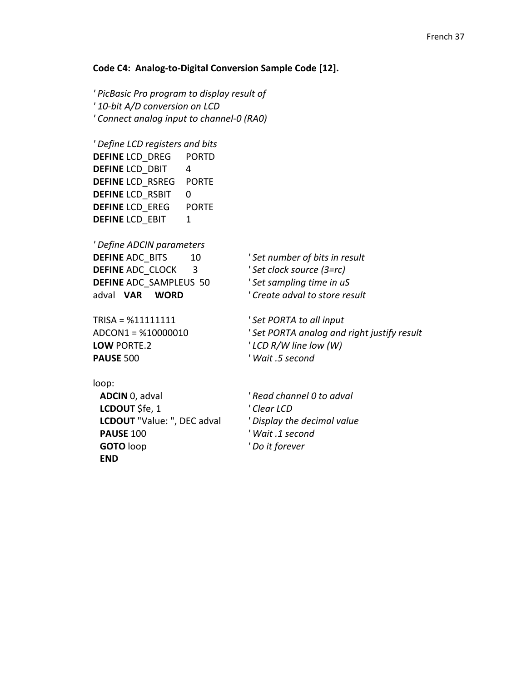### **Code C4: Analog‐to‐Digital Conversion Sample Code [12].**

*' PicBasic Pro program to display result of ' 10‐bit A/D conversion on LCD ' Connect analog input to channel‐0 (RA0)*

*' Define LCD registers and bits* **DEFINE** LCD\_DREG PORTD **DEFINE LCD DBIT 4 DEFINE** LCD\_RSREG PORTE **DEFINE** LCD RSBIT 0 **DEFINE** LCD\_EREG PORTE **DEFINE** LCD\_EBIT 1

*' Define ADCIN parameters* **DEFINE** ADC\_BITS 10 *' Set number of bits in result* **DEFINE** ADC\_CLOCK 3 *' Set clock source (3=rc)* **DEFINE** ADC\_SAMPLEUS 50 *' Set sampling time in uS* adval **VAR WORD** *' Create adval to store result*

TRISA = %11111111 *' Set PORTA to all input* **LOW** PORTE.2 *' LCD R/W line low (W)* **PAUSE** 500 *' Wait .5 second*

ADCON1 = %10000010 *' Set PORTA analog and right justify result*

loop:

 **ADCIN** 0, adval *' Read channel 0 to adval* **LCDOUT** \$fe, 1 *' Clear LCD* **LCDOUT** "Value: ", DEC adval *' Display the decimal value* **PAUSE** 100 *' Wait .1 second* **GOTO** loop *' Do it forever* **END**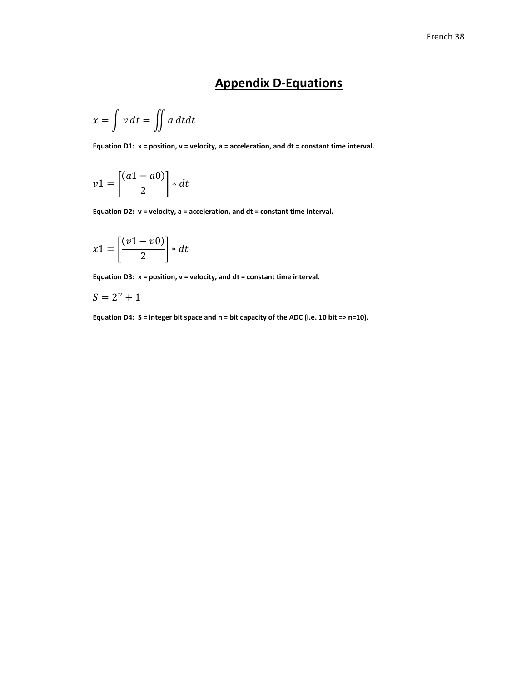### **Appendix D‐Equations**

$$
x = \int v \, dt = \iint a \, dt dt
$$

**Equation D1: x = position, v = velocity, a = acceleration, and dt = constant time interval.**

$$
v1 = \left[\frac{(a1 - a0)}{2}\right] * dt
$$

**Equation D2: v = velocity, a = acceleration, and dt = constant time interval.**

$$
x1 = \left[\frac{(v1 - v0)}{2}\right] * dt
$$

**Equation D3: x = position, v = velocity, and dt = constant time interval.**

$$
S=2^n+1
$$

Equation D4:  $S =$  integer bit space and  $n =$  bit capacity of the ADC (i.e. 10 bit =>  $n=10$ ).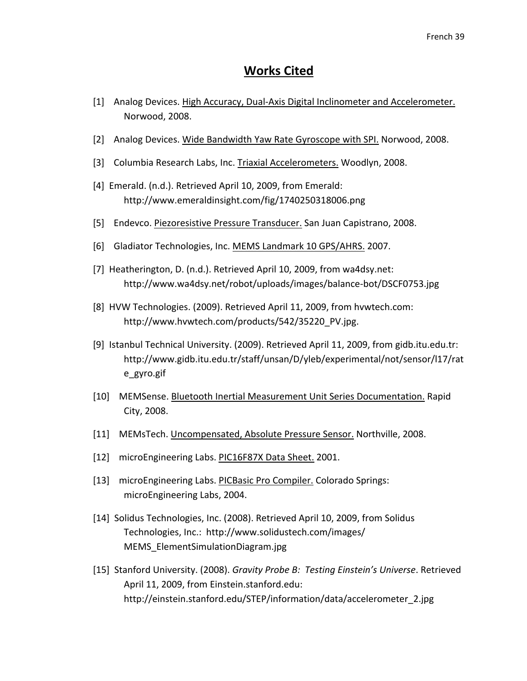### **Works Cited**

- [1] Analog Devices. High Accuracy, Dual-Axis Digital Inclinometer and Accelerometer. Norwood, 2008.
- [2] Analog Devices. Wide Bandwidth Yaw Rate Gyroscope with SPI. Norwood, 2008.
- [3] Columbia Research Labs, Inc. Triaxial Accelerometers. Woodlyn, 2008.
- [4] Emerald. (n.d.). Retrieved April 10, 2009, from Emerald: http://www.emeraldinsight.com/fig/1740250318006.png
- [5] Endevco. Piezoresistive Pressure Transducer. San Juan Capistrano, 2008.
- [6] Gladiator Technologies, Inc. MEMS Landmark 10 GPS/AHRS. 2007.
- [7] Heatherington, D. (n.d.). Retrieved April 10, 2009, from wa4dsy.net: http://www.wa4dsy.net/robot/uploads/images/balance‐bot/DSCF0753.jpg
- [8] HVW Technologies. (2009). Retrieved April 11, 2009, from hvwtech.com: http://www.hvwtech.com/products/542/35220\_PV.jpg.
- [9] Istanbul Technical University. (2009). Retrieved April 11, 2009, from gidb.itu.edu.tr: http://www.gidb.itu.edu.tr/staff/unsan/D/yleb/experimental/not/sensor/l17/rat e\_gyro.gif
- [10] MEMSense. Bluetooth Inertial Measurement Unit Series Documentation. Rapid City, 2008.
- [11] MEMsTech. Uncompensated, Absolute Pressure Sensor. Northville, 2008.
- [12] microEngineering Labs. PIC16F87X Data Sheet. 2001.
- [13] microEngineering Labs. PICBasic Pro Compiler. Colorado Springs: microEngineering Labs, 2004.
- [14] Solidus Technologies, Inc. (2008). Retrieved April 10, 2009, from Solidus Technologies, Inc.: http://www.solidustech.com/images/ MEMS\_ElementSimulationDiagram.jpg
- [15] Stanford University. (2008). *Gravity Probe B: Testing Einstein's Universe*. Retrieved April 11, 2009, from Einstein.stanford.edu: http://einstein.stanford.edu/STEP/information/data/accelerometer\_2.jpg